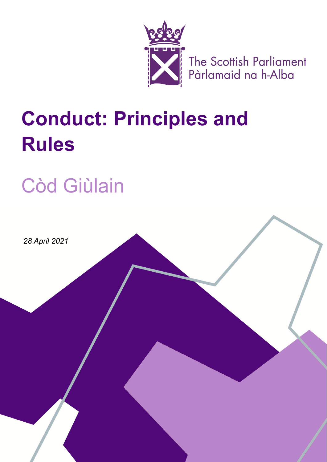

The Scottish Parliament<br>Pàrlamaid na h-Alba

# **Conduct: Principles and Rules**

# Còd Giùlain

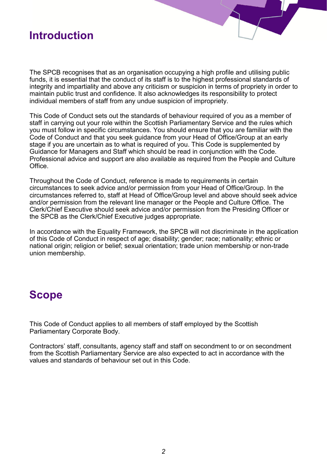#### **Introduction**

The SPCB recognises that as an organisation occupying a high profile and utilising public funds, it is essential that the conduct of its staff is to the highest professional standards of integrity and impartiality and above any criticism or suspicion in terms of propriety in order to maintain public trust and confidence. It also acknowledges its responsibility to protect individual members of staff from any undue suspicion of impropriety.

This Code of Conduct sets out the standards of behaviour required of you as a member of staff in carrying out your role within the Scottish Parliamentary Service and the rules which you must follow in specific circumstances. You should ensure that you are familiar with the Code of Conduct and that you seek guidance from your Head of Office/Group at an early stage if you are uncertain as to what is required of you. This Code is supplemented by Guidance for Managers and Staff which should be read in conjunction with the Code. Professional advice and support are also available as required from the People and Culture **Office** 

Throughout the Code of Conduct, reference is made to requirements in certain circumstances to seek advice and/or permission from your Head of Office/Group. In the circumstances referred to, staff at Head of Office/Group level and above should seek advice and/or permission from the relevant line manager or the People and Culture Office. The Clerk/Chief Executive should seek advice and/or permission from the Presiding Officer or the SPCB as the Clerk/Chief Executive judges appropriate.

In accordance with the Equality Framework, the SPCB will not discriminate in the application of this Code of Conduct in respect of age; disability; gender; race; nationality; ethnic or national origin; religion or belief; sexual orientation; trade union membership or non-trade union membership.

#### **Scope**

This Code of Conduct applies to all members of staff employed by the Scottish Parliamentary Corporate Body.

Contractors' staff, consultants, agency staff and staff on secondment to or on secondment from the Scottish Parliamentary Service are also expected to act in accordance with the values and standards of behaviour set out in this Code.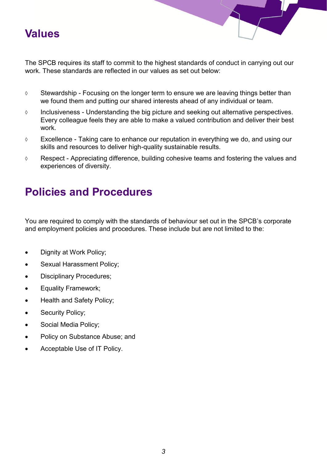#### **Values**

The SPCB requires its staff to commit to the highest standards of conduct in carrying out our work. These standards are reflected in our values as set out below:

- $\Diamond$  Stewardship Focusing on the longer term to ensure we are leaving things better than we found them and putting our shared interests ahead of any individual or team.
- $\Diamond$  Inclusiveness Understanding the big picture and seeking out alternative perspectives. Every colleague feels they are able to make a valued contribution and deliver their best work.
- Excellence Taking care to enhance our reputation in everything we do, and using our skills and resources to deliver high-quality sustainable results.
- Respect Appreciating difference, building cohesive teams and fostering the values and experiences of diversity.

# **Policies and Procedures**

You are required to comply with the standards of behaviour set out in the SPCB's corporate and employment policies and procedures. These include but are not limited to the:

- Dignity at Work Policy;
- Sexual Harassment Policy;
- Disciplinary Procedures;
- Equality Framework;
- Health and Safety Policy;
- Security Policy;
- Social Media Policy;
- Policy on Substance Abuse; and
- Acceptable Use of IT Policy.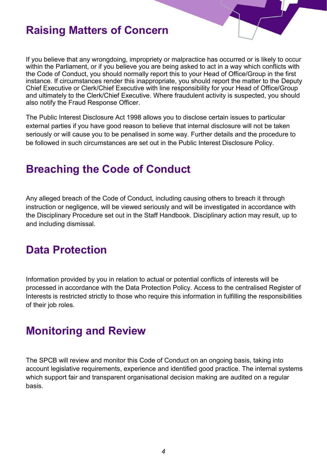#### **Raising Matters of Concern**

If you believe that any wrongdoing, impropriety or malpractice has occurred or is likely to occur within the Parliament, or if you believe you are being asked to act in a way which conflicts with the Code of Conduct, you should normally report this to your Head of Office/Group in the first instance. If circumstances render this inappropriate, you should report the matter to the Deputy Chief Executive or Clerk/Chief Executive with line responsibility for your Head of Office/Group and ultimately to the Clerk/Chief Executive. Where fraudulent activity is suspected, you should also notify the Fraud Response Officer.

The Public Interest Disclosure Act 1998 allows you to disclose certain issues to particular external parties if you have good reason to believe that internal disclosure will not be taken seriously or will cause you to be penalised in some way. Further details and the procedure to be followed in such circumstances are set out in the Public Interest Disclosure Policy.

#### **Breaching the Code of Conduct**

Any alleged breach of the Code of Conduct, including causing others to breach it through instruction or negligence, will be viewed seriously and will be investigated in accordance with the Disciplinary Procedure set out in the Staff Handbook. Disciplinary action may result, up to and including dismissal.

#### **Data Protection**

Information provided by you in relation to actual or potential conflicts of interests will be processed in accordance with the Data Protection Policy. Access to the centralised Register of Interests is restricted strictly to those who require this information in fulfilling the responsibilities of their job roles.

#### **Monitoring and Review**

The SPCB will review and monitor this Code of Conduct on an ongoing basis, taking into account legislative requirements, experience and identified good practice. The internal systems which support fair and transparent organisational decision making are audited on a regular basis.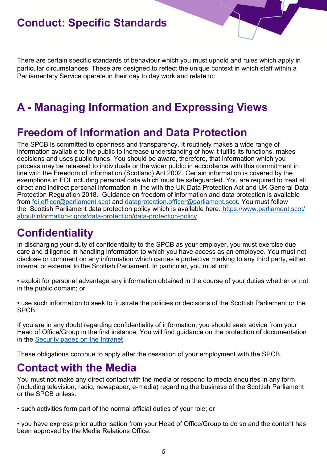## **Conduct: Specific Standards**

There are certain specific standards of behaviour which you must uphold and rules which apply in particular circumstances. These are designed to reflect the unique context in which staff within a Parliamentary Service operate in their day to day work and relate to:

# **A - Managing Information and Expressing Views**

#### **Freedom of Information and Data Protection**

The SPCB is committed to openness and transparency. It routinely makes a wide range of information available to the public to increase understanding of how it fulfils its functions, makes decisions and uses public funds. You should be aware, therefore, that information which you process may be released to individuals or the wider public in accordance with this commitment in line with the Freedom of Information (Scotland) Act 2002. Certain information is covered by the exemptions in FOI including personal data which must be safeguarded. You are required to treat all direct and indirect personal information in line with the UK Data Protection Act and UK General Data Protection Regulation 2018. Guidance on freedom of information and data protection is available from [foi.officer@parliament.scot](mailto:foi.officer@parliament.scot) and [dataprotection.officer@parliament.scot.](mailto:dataptotection.officer@parliament.scot) You must follow the Scottish Parliament data protection policy which is available here: [https://www.parliament.scot/](https://www.parliament.scot/about/information-rights/data-protection/data-protection-policy) [about/information](https://www.parliament.scot/about/information-rights/data-protection/data-protection-policy)-rights/data-protection/data-protection-policy.

#### **Confidentiality**

In discharging your duty of confidentiality to the SPCB as your employer, you must exercise due care and diligence in handling information to which you have access as an employee. You must not disclose or comment on any information which carries a protective marking to any third party, either internal or external to the Scottish Parliament. In particular, you must not:

• exploit for personal advantage any information obtained in the course of your duties whether or not in the public domain; or

• use such information to seek to frustrate the policies or decisions of the Scottish Parliament or the SPCB.

If you are in any doubt regarding confidentiality of information, you should seek advice from your Head of Office/Group in the first instance. You will find guidance on the protection of documentation in the [Security pages on the Intranet.](https://archive2021.parliament.scot/intranet/12469.aspx)

These obligations continue to apply after the cessation of your employment with the SPCB.

#### **Contact with the Media**

You must not make any direct contact with the media or respond to media enquiries in any form (including television, radio, newspaper, e-media) regarding the business of the Scottish Parliament or the SPCB unless:

• such activities form part of the normal official duties of your role; or

• you have express prior authorisation from your Head of Office/Group to do so and the content has been approved by the Media Relations Office.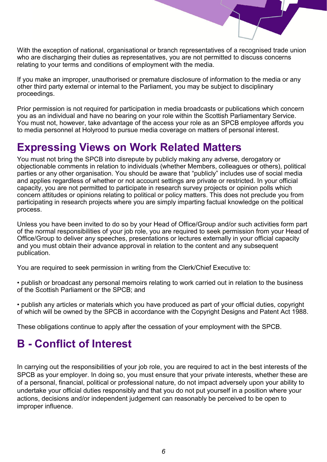

With the exception of national, organisational or branch representatives of a recognised trade union who are discharging their duties as representatives, you are not permitted to discuss concerns relating to your terms and conditions of employment with the media.

If you make an improper, unauthorised or premature disclosure of information to the media or any other third party external or internal to the Parliament, you may be subject to disciplinary proceedings.

Prior permission is not required for participation in media broadcasts or publications which concern you as an individual and have no bearing on your role within the Scottish Parliamentary Service. You must not, however, take advantage of the access your role as an SPCB employee affords you to media personnel at Holyrood to pursue media coverage on matters of personal interest.

### **Expressing Views on Work Related Matters**

You must not bring the SPCB into disrepute by publicly making any adverse, derogatory or objectionable comments in relation to individuals (whether Members, colleagues or others), political parties or any other organisation. You should be aware that "publicly" includes use of social media and applies regardless of whether or not account settings are private or restricted. In your official capacity, you are not permitted to participate in research survey projects or opinion polls which concern attitudes or opinions relating to political or policy matters. This does not preclude you from participating in research projects where you are simply imparting factual knowledge on the political process.

Unless you have been invited to do so by your Head of Office/Group and/or such activities form part of the normal responsibilities of your job role, you are required to seek permission from your Head of Office/Group to deliver any speeches, presentations or lectures externally in your official capacity and you must obtain their advance approval in relation to the content and any subsequent publication.

You are required to seek permission in writing from the Clerk/Chief Executive to:

• publish or broadcast any personal memoirs relating to work carried out in relation to the business of the Scottish Parliament or the SPCB; and

• publish any articles or materials which you have produced as part of your official duties, copyright of which will be owned by the SPCB in accordance with the Copyright Designs and Patent Act 1988.

These obligations continue to apply after the cessation of your employment with the SPCB.

# **B - Conflict of Interest**

In carrying out the responsibilities of your job role, you are required to act in the best interests of the SPCB as your employer. In doing so, you must ensure that your private interests, whether these are of a personal, financial, political or professional nature, do not impact adversely upon your ability to undertake your official duties responsibly and that you do not put yourself in a position where your actions, decisions and/or independent judgement can reasonably be perceived to be open to improper influence.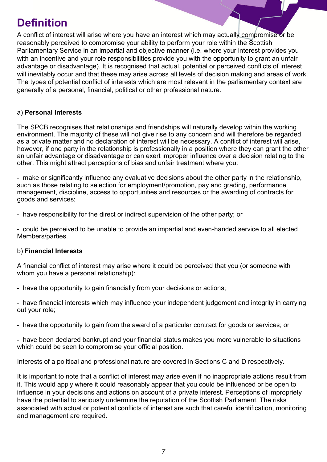# **Definition**

A conflict of interest will arise where you have an interest which may actually compromise or be reasonably perceived to compromise your ability to perform your role within the Scottish Parliamentary Service in an impartial and objective manner (i.e. where your interest provides you with an incentive and your role responsibilities provide you with the opportunity to grant an unfair advantage or disadvantage). It is recognised that actual, potential or perceived conflicts of interest will inevitably occur and that these may arise across all levels of decision making and areas of work. The types of potential conflict of interests which are most relevant in the parliamentary context are generally of a personal, financial, political or other professional nature.

#### a) **Personal Interests**

The SPCB recognises that relationships and friendships will naturally develop within the working environment. The majority of these will not give rise to any concern and will therefore be regarded as a private matter and no declaration of interest will be necessary. A conflict of interest will arise, however, if one party in the relationship is professionally in a position where they can grant the other an unfair advantage or disadvantage or can exert improper influence over a decision relating to the other. This might attract perceptions of bias and unfair treatment where you:

- make or significantly influence any evaluative decisions about the other party in the relationship, such as those relating to selection for employment/promotion, pay and grading, performance management, discipline, access to opportunities and resources or the awarding of contracts for goods and services;

- have responsibility for the direct or indirect supervision of the other party; or

- could be perceived to be unable to provide an impartial and even-handed service to all elected Members/parties.

#### b) **Financial Interests**

A financial conflict of interest may arise where it could be perceived that you (or someone with whom you have a personal relationship):

- have the opportunity to gain financially from your decisions or actions;

- have financial interests which may influence your independent judgement and integrity in carrying out your role;

- have the opportunity to gain from the award of a particular contract for goods or services; or

- have been declared bankrupt and your financial status makes you more vulnerable to situations which could be seen to compromise your official position.

Interests of a political and professional nature are covered in Sections C and D respectively.

It is important to note that a conflict of interest may arise even if no inappropriate actions result from it. This would apply where it could reasonably appear that you could be influenced or be open to influence in your decisions and actions on account of a private interest. Perceptions of impropriety have the potential to seriously undermine the reputation of the Scottish Parliament. The risks associated with actual or potential conflicts of interest are such that careful identification, monitoring and management are required.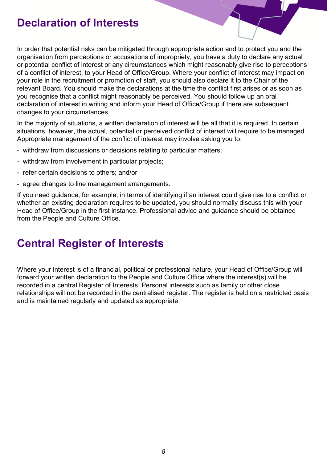### **Declaration of Interests**

In order that potential risks can be mitigated through appropriate action and to protect you and the organisation from perceptions or accusations of impropriety, you have a duty to declare any actual or potential conflict of interest or any circumstances which might reasonably give rise to perceptions of a conflict of interest, to your Head of Office/Group. Where your conflict of interest may impact on your role in the recruitment or promotion of staff, you should also declare it to the Chair of the relevant Board. You should make the declarations at the time the conflict first arises or as soon as you recognise that a conflict might reasonably be perceived. You should follow up an oral declaration of interest in writing and inform your Head of Office/Group if there are subsequent changes to your circumstances.

In the majority of situations, a written declaration of interest will be all that it is required. In certain situations, however, the actual, potential or perceived conflict of interest will require to be managed. Appropriate management of the conflict of interest may involve asking you to:

- withdraw from discussions or decisions relating to particular matters;
- withdraw from involvement in particular projects;
- refer certain decisions to others; and/or
- agree changes to line management arrangements.

If you need guidance, for example, in terms of identifying if an interest could give rise to a conflict or whether an existing declaration requires to be updated, you should normally discuss this with your Head of Office/Group in the first instance. Professional advice and guidance should be obtained from the People and Culture Office.

#### **Central Register of Interests**

Where your interest is of a financial, political or professional nature, your Head of Office/Group will forward your written declaration to the People and Culture Office where the interest(s) will be recorded in a central Register of Interests. Personal interests such as family or other close relationships will not be recorded in the centralised register. The register is held on a restricted basis and is maintained regularly and updated as appropriate.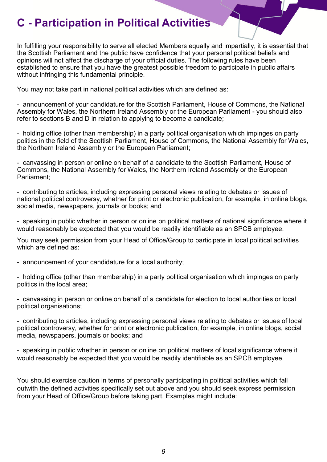# **C - Participation in Political Activities**

In fulfilling your responsibility to serve all elected Members equally and impartially, it is essential that the Scottish Parliament and the public have confidence that your personal political beliefs and opinions will not affect the discharge of your official duties. The following rules have been established to ensure that you have the greatest possible freedom to participate in public affairs without infringing this fundamental principle.

You may not take part in national political activities which are defined as:

- announcement of your candidature for the Scottish Parliament, House of Commons, the National Assembly for Wales, the Northern Ireland Assembly or the European Parliament - you should also refer to sections B and D in relation to applying to become a candidate;

- holding office (other than membership) in a party political organisation which impinges on party politics in the field of the Scottish Parliament, House of Commons, the National Assembly for Wales, the Northern Ireland Assembly or the European Parliament;

- canvassing in person or online on behalf of a candidate to the Scottish Parliament, House of Commons, the National Assembly for Wales, the Northern Ireland Assembly or the European Parliament;

- contributing to articles, including expressing personal views relating to debates or issues of national political controversy, whether for print or electronic publication, for example, in online blogs, social media, newspapers, journals or books; and

- speaking in public whether in person or online on political matters of national significance where it would reasonably be expected that you would be readily identifiable as an SPCB employee.

You may seek permission from your Head of Office/Group to participate in local political activities which are defined as:

- announcement of your candidature for a local authority;

- holding office (other than membership) in a party political organisation which impinges on party politics in the local area;

- canvassing in person or online on behalf of a candidate for election to local authorities or local political organisations;

- contributing to articles, including expressing personal views relating to debates or issues of local political controversy, whether for print or electronic publication, for example, in online blogs, social media, newspapers, journals or books; and

- speaking in public whether in person or online on political matters of local significance where it would reasonably be expected that you would be readily identifiable as an SPCB employee.

You should exercise caution in terms of personally participating in political activities which fall outwith the defined activities specifically set out above and you should seek express permission from your Head of Office/Group before taking part. Examples might include: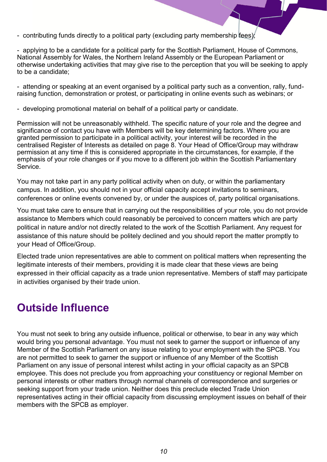- contributing funds directly to a political party (excluding party membership fees);
- applying to be a candidate for a political party for the Scottish Parliament, House of Commons, National Assembly for Wales, the Northern Ireland Assembly or the European Parliament or otherwise undertaking activities that may give rise to the perception that you will be seeking to apply to be a candidate;

- attending or speaking at an event organised by a political party such as a convention, rally, fundraising function, demonstration or protest, or participating in online events such as webinars; or

- developing promotional material on behalf of a political party or candidate.

Permission will not be unreasonably withheld. The specific nature of your role and the degree and significance of contact you have with Members will be key determining factors. Where you are granted permission to participate in a political activity, your interest will be recorded in the centralised Register of Interests as detailed on page 8. Your Head of Office/Group may withdraw permission at any time if this is considered appropriate in the circumstances, for example, if the emphasis of your role changes or if you move to a different job within the Scottish Parliamentary Service.

You may not take part in any party political activity when on duty, or within the parliamentary campus. In addition, you should not in your official capacity accept invitations to seminars, conferences or online events convened by, or under the auspices of, party political organisations.

You must take care to ensure that in carrying out the responsibilities of your role, you do not provide assistance to Members which could reasonably be perceived to concern matters which are party political in nature and/or not directly related to the work of the Scottish Parliament. Any request for assistance of this nature should be politely declined and you should report the matter promptly to your Head of Office/Group.

Elected trade union representatives are able to comment on political matters when representing the legitimate interests of their members, providing it is made clear that these views are being expressed in their official capacity as a trade union representative. Members of staff may participate in activities organised by their trade union.

#### **Outside Influence**

You must not seek to bring any outside influence, political or otherwise, to bear in any way which would bring you personal advantage. You must not seek to garner the support or influence of any Member of the Scottish Parliament on any issue relating to your employment with the SPCB. You are not permitted to seek to garner the support or influence of any Member of the Scottish Parliament on any issue of personal interest whilst acting in your official capacity as an SPCB employee. This does not preclude you from approaching your constituency or regional Member on personal interests or other matters through normal channels of correspondence and surgeries or seeking support from your trade union. Neither does this preclude elected Trade Union representatives acting in their official capacity from discussing employment issues on behalf of their members with the SPCB as employer.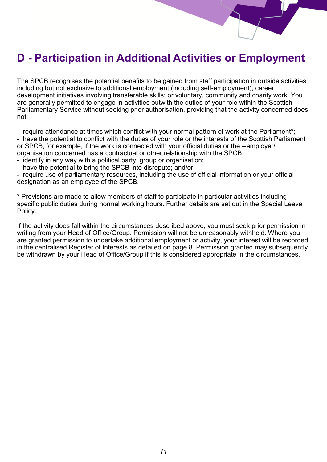# **D - Participation in Additional Activities or Employment**

The SPCB recognises the potential benefits to be gained from staff participation in outside activities including but not exclusive to additional employment (including self-employment); career development initiatives involving transferable skills; or voluntary, community and charity work. You are generally permitted to engage in activities outwith the duties of your role within the Scottish Parliamentary Service without seeking prior authorisation, providing that the activity concerned does not:

- require attendance at times which conflict with your normal pattern of work at the Parliament\*;

- have the potential to conflict with the duties of your role or the interests of the Scottish Parliament or SPCB, for example, if the work is connected with your official duties or the --employer/ organisation concerned has a contractual or other relationship with the SPCB;

- identify in any way with a political party, group or organisation;
- have the potential to bring the SPCB into disrepute; and/or

- require use of parliamentary resources, including the use of official information or your official designation as an employee of the SPCB.

\* Provisions are made to allow members of staff to participate in particular activities including specific public duties during normal working hours. Further details are set out in the Special Leave Policy.

If the activity does fall within the circumstances described above, you must seek prior permission in writing from your Head of Office/Group. Permission will not be unreasonably withheld. Where you are granted permission to undertake additional employment or activity, your interest will be recorded in the centralised Register of Interests as detailed on page 8. Permission granted may subsequently be withdrawn by your Head of Office/Group if this is considered appropriate in the circumstances.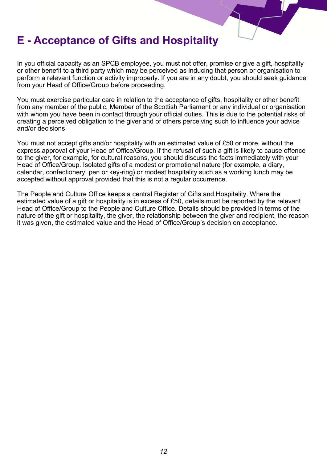### **E - Acceptance of Gifts and Hospitality**

In you official capacity as an SPCB employee, you must not offer, promise or give a gift, hospitality or other benefit to a third party which may be perceived as inducing that person or organisation to perform a relevant function or activity improperly. If you are in any doubt, you should seek guidance from your Head of Office/Group before proceeding.

You must exercise particular care in relation to the acceptance of gifts, hospitality or other benefit from any member of the public, Member of the Scottish Parliament or any individual or organisation with whom you have been in contact through your official duties. This is due to the potential risks of creating a perceived obligation to the giver and of others perceiving such to influence your advice and/or decisions.

You must not accept gifts and/or hospitality with an estimated value of £50 or more, without the express approval of your Head of Office/Group. If the refusal of such a gift is likely to cause offence to the giver, for example, for cultural reasons, you should discuss the facts immediately with your Head of Office/Group. Isolated gifts of a modest or promotional nature (for example, a diary, calendar, confectionery, pen or key-ring) or modest hospitality such as a working lunch may be accepted without approval provided that this is not a regular occurrence.

The People and Culture Office keeps a central Register of Gifts and Hospitality. Where the estimated value of a gift or hospitality is in excess of £50, details must be reported by the relevant Head of Office/Group to the People and Culture Office. Details should be provided in terms of the nature of the gift or hospitality, the giver, the relationship between the giver and recipient, the reason it was given, the estimated value and the Head of Office/Group's decision on acceptance.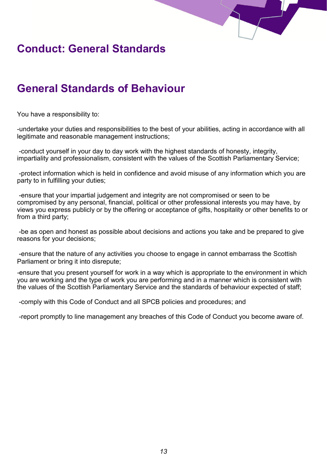

## **Conduct: General Standards**

# **General Standards of Behaviour**

You have a responsibility to:

-undertake your duties and responsibilities to the best of your abilities, acting in accordance with all legitimate and reasonable management instructions;

-conduct yourself in your day to day work with the highest standards of honesty, integrity, impartiality and professionalism, consistent with the values of the Scottish Parliamentary Service;

-protect information which is held in confidence and avoid misuse of any information which you are party to in fulfilling your duties;

-ensure that your impartial judgement and integrity are not compromised or seen to be compromised by any personal, financial, political or other professional interests you may have, by views you express publicly or by the offering or acceptance of gifts, hospitality or other benefits to or from a third party;

-be as open and honest as possible about decisions and actions you take and be prepared to give reasons for your decisions;

-ensure that the nature of any activities you choose to engage in cannot embarrass the Scottish Parliament or bring it into disrepute;

*-*ensure that you present yourself for work in a way which is appropriate to the environment in which you are working and the type of work you are performing and in a manner which is consistent with the values of the Scottish Parliamentary Service and the standards of behaviour expected of staff;

-comply with this Code of Conduct and all SPCB policies and procedures; and

-report promptly to line management any breaches of this Code of Conduct you become aware of.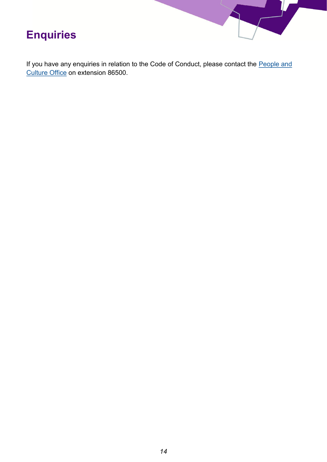

If you have any enquiries in relation to the Code of Conduct, please contact the People and [Culture Office](mailto:HumanResources@parliament.scot) on extension 86500.